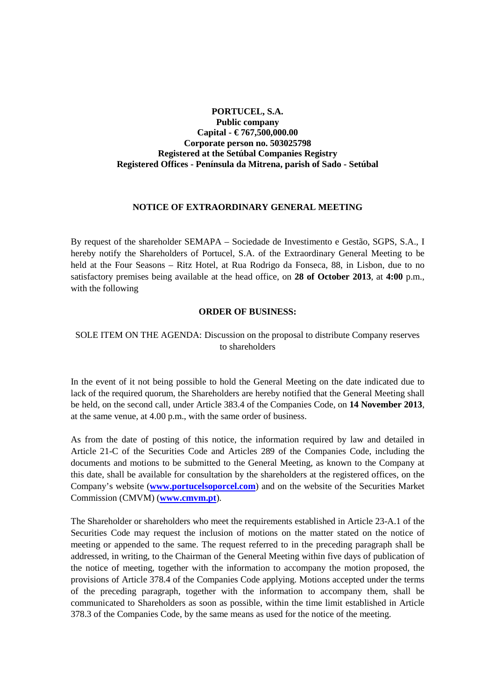## **PORTUCEL, S.A. Public company Capital - € 767,500,000.00 Corporate person no. 503025798 Registered at the Setúbal Companies Registry Registered Offices - Península da Mitrena, parish of Sado - Setúbal**

## **NOTICE OF EXTRAORDINARY GENERAL MEETING**

By request of the shareholder SEMAPA – Sociedade de Investimento e Gestão, SGPS, S.A., I hereby notify the Shareholders of Portucel, S.A. of the Extraordinary General Meeting to be held at the Four Seasons – Ritz Hotel, at Rua Rodrigo da Fonseca, 88, in Lisbon, due to no satisfactory premises being available at the head office, on **28 of October 2013**, at **4:00** p.m., with the following

## **ORDER OF BUSINESS:**

## SOLE ITEM ON THE AGENDA: Discussion on the proposal to distribute Company reserves to shareholders

In the event of it not being possible to hold the General Meeting on the date indicated due to lack of the required quorum, the Shareholders are hereby notified that the General Meeting shall be held, on the second call, under Article 383.4 of the Companies Code, on **14 November 2013**, at the same venue, at 4.00 p.m., with the same order of business.

As from the date of posting of this notice, the information required by law and detailed in Article 21-C of the Securities Code and Articles 289 of the Companies Code, including the documents and motions to be submitted to the General Meeting, as known to the Company at this date, shall be available for consultation by the shareholders at the registered offices, on the Company's website (**www.portucelsoporcel.com**) and on the website of the Securities Market Commission (CMVM) (**www.cmvm.pt**).

The Shareholder or shareholders who meet the requirements established in Article 23-A.1 of the Securities Code may request the inclusion of motions on the matter stated on the notice of meeting or appended to the same. The request referred to in the preceding paragraph shall be addressed, in writing, to the Chairman of the General Meeting within five days of publication of the notice of meeting, together with the information to accompany the motion proposed, the provisions of Article 378.4 of the Companies Code applying. Motions accepted under the terms of the preceding paragraph, together with the information to accompany them, shall be communicated to Shareholders as soon as possible, within the time limit established in Article 378.3 of the Companies Code, by the same means as used for the notice of the meeting.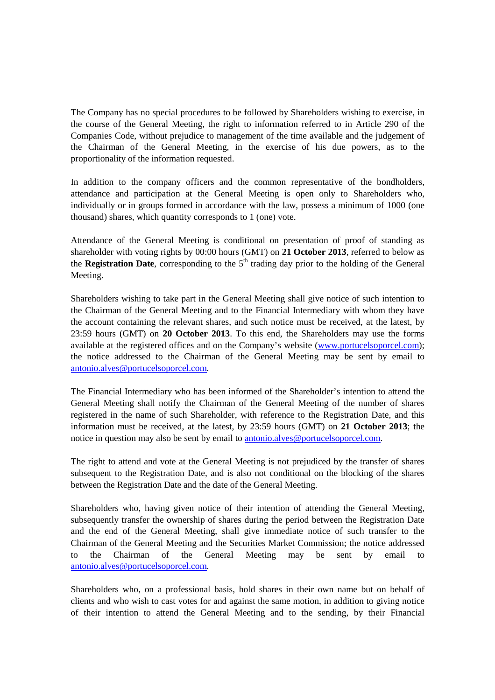The Company has no special procedures to be followed by Shareholders wishing to exercise, in the course of the General Meeting, the right to information referred to in Article 290 of the Companies Code, without prejudice to management of the time available and the judgement of the Chairman of the General Meeting, in the exercise of his due powers, as to the proportionality of the information requested.

In addition to the company officers and the common representative of the bondholders, attendance and participation at the General Meeting is open only to Shareholders who, individually or in groups formed in accordance with the law, possess a minimum of 1000 (one thousand) shares, which quantity corresponds to 1 (one) vote.

Attendance of the General Meeting is conditional on presentation of proof of standing as shareholder with voting rights by 00:00 hours (GMT) on **21 October 2013**, referred to below as the **Registration Date**, corresponding to the  $5<sup>th</sup>$  trading day prior to the holding of the General Meeting.

Shareholders wishing to take part in the General Meeting shall give notice of such intention to the Chairman of the General Meeting and to the Financial Intermediary with whom they have the account containing the relevant shares, and such notice must be received, at the latest, by 23:59 hours (GMT) on **20 October 2013**. To this end, the Shareholders may use the forms available at the registered offices and on the Company's website (www.portucelsoporcel.com); the notice addressed to the Chairman of the General Meeting may be sent by email to antonio.alves@portucelsoporcel.com.

The Financial Intermediary who has been informed of the Shareholder's intention to attend the General Meeting shall notify the Chairman of the General Meeting of the number of shares registered in the name of such Shareholder, with reference to the Registration Date, and this information must be received, at the latest, by 23:59 hours (GMT) on **21 October 2013**; the notice in question may also be sent by email to antonio.alves@portucelsoporcel.com.

The right to attend and vote at the General Meeting is not prejudiced by the transfer of shares subsequent to the Registration Date, and is also not conditional on the blocking of the shares between the Registration Date and the date of the General Meeting.

Shareholders who, having given notice of their intention of attending the General Meeting, subsequently transfer the ownership of shares during the period between the Registration Date and the end of the General Meeting, shall give immediate notice of such transfer to the Chairman of the General Meeting and the Securities Market Commission; the notice addressed to the Chairman of the General Meeting may be sent by email to antonio.alves@portucelsoporcel.com.

Shareholders who, on a professional basis, hold shares in their own name but on behalf of clients and who wish to cast votes for and against the same motion, in addition to giving notice of their intention to attend the General Meeting and to the sending, by their Financial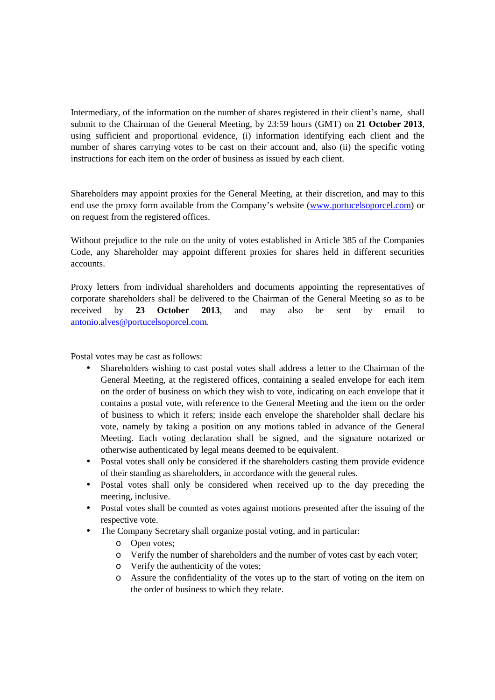Intermediary, of the information on the number of shares registered in their client's name, shall submit to the Chairman of the General Meeting, by 23:59 hours (GMT) on **21 October 2013**, using sufficient and proportional evidence, (i) information identifying each client and the number of shares carrying votes to be cast on their account and, also (ii) the specific voting instructions for each item on the order of business as issued by each client.

Shareholders may appoint proxies for the General Meeting, at their discretion, and may to this end use the proxy form available from the Company's website (www.portucelsoporcel.com) or on request from the registered offices.

Without prejudice to the rule on the unity of votes established in Article 385 of the Companies Code, any Shareholder may appoint different proxies for shares held in different securities accounts.

Proxy letters from individual shareholders and documents appointing the representatives of corporate shareholders shall be delivered to the Chairman of the General Meeting so as to be received by **23 October 2013**, and may also be sent by email to antonio.alves@portucelsoporcel.com.

Postal votes may be cast as follows:

- Shareholders wishing to cast postal votes shall address a letter to the Chairman of the General Meeting, at the registered offices, containing a sealed envelope for each item on the order of business on which they wish to vote, indicating on each envelope that it contains a postal vote, with reference to the General Meeting and the item on the order of business to which it refers; inside each envelope the shareholder shall declare his vote, namely by taking a position on any motions tabled in advance of the General Meeting. Each voting declaration shall be signed, and the signature notarized or otherwise authenticated by legal means deemed to be equivalent.
- Postal votes shall only be considered if the shareholders casting them provide evidence of their standing as shareholders, in accordance with the general rules.
- Postal votes shall only be considered when received up to the day preceding the meeting, inclusive.
- Postal votes shall be counted as votes against motions presented after the issuing of the respective vote.
- The Company Secretary shall organize postal voting, and in particular:
	- o Open votes;
	- o Verify the number of shareholders and the number of votes cast by each voter;
	- o Verify the authenticity of the votes;
	- o Assure the confidentiality of the votes up to the start of voting on the item on the order of business to which they relate.